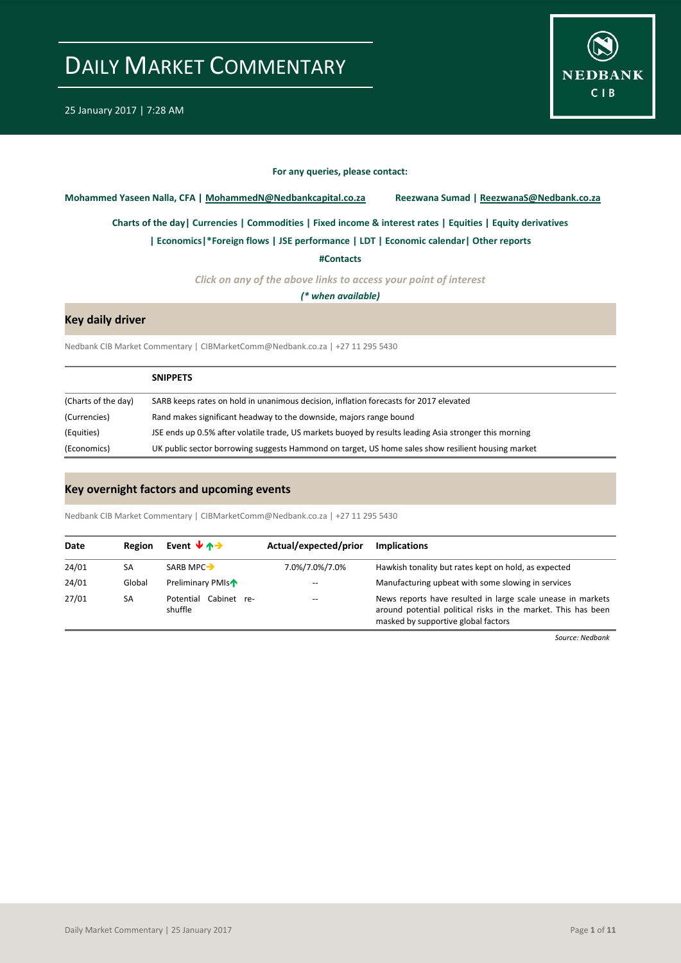

#### **For any queries, please contact:**

<span id="page-0-0"></span>**Mohammed Yaseen Nalla, CFA | MohammedN@Nedbankcapital.co.za Reezwana Sumad | ReezwanaS@Nedbank.co.za**

**[Charts of the day|](#page-1-0) [Currencies](#page-2-0) [| Commodities](#page-3-0) | [Fixed income & interest rates](#page-4-0) [| Equities](#page-5-0) | Equity derivatives**

**[| Economics|](#page-6-0)\*Foreign flows | [JSE performance](#page-7-0) [| LDT](#page-8-0) [| Economic calendar|](#page-6-1) Other reports** 

**[#Contacts](#page-9-0)**

*Click on any of the above links to access your point of interest*

*(\* when available)*

### **Key daily driver**

Nedbank CIB Market Commentary | CIBMarketComm@Nedbank.co.za | +27 11 295 5430

|                     | <b>SNIPPETS</b>                                                                                        |
|---------------------|--------------------------------------------------------------------------------------------------------|
| (Charts of the day) | SARB keeps rates on hold in unanimous decision, inflation forecasts for 2017 elevated                  |
| (Currencies)        | Rand makes significant headway to the downside, majors range bound                                     |
| (Equities)          | JSE ends up 0.5% after volatile trade, US markets buoyed by results leading Asia stronger this morning |
| (Economics)         | UK public sector borrowing suggests Hammond on target, US home sales show resilient housing market     |

### **Key overnight factors and upcoming events**

Nedbank CIB Market Commentary | CIBMarketComm@Nedbank.co.za | +27 11 295 5430

| Date  | Region | Event $\forall$ $\land \rightarrow$ | Actual/expected/prior | Implications                                                                                                                                                        |
|-------|--------|-------------------------------------|-----------------------|---------------------------------------------------------------------------------------------------------------------------------------------------------------------|
| 24/01 | SA     | SARB MPC-                           | 7.0%/7.0%/7.0%        | Hawkish tonality but rates kept on hold, as expected                                                                                                                |
| 24/01 | Global | Preliminary PMIs <sup>1</sup>       | $-$                   | Manufacturing upbeat with some slowing in services                                                                                                                  |
| 27/01 | SA     | Cabinet re-<br>Potential<br>shuffle | $- -$                 | News reports have resulted in large scale unease in markets<br>around potential political risks in the market. This has been<br>masked by supportive global factors |

*Source: Nedbank*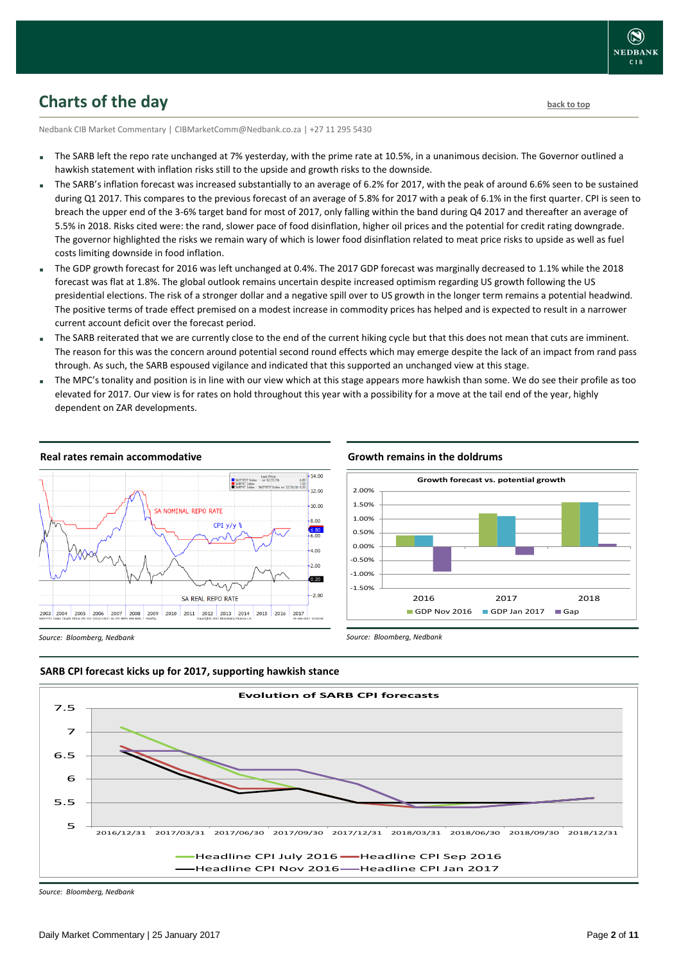## <span id="page-1-0"></span>**Charts of the day** [back to top](#page-0-0) **back to top**

Nedbank CIB Market Commentary | CIBMarketComm@Nedbank.co.za | +27 11 295 5430

- The SARB left the repo rate unchanged at 7% yesterday, with the prime rate at 10.5%, in a unanimous decision. The Governor outlined a hawkish statement with inflation risks still to the upside and growth risks to the downside.
- The SARB's inflation forecast was increased substantially to an average of 6.2% for 2017, with the peak of around 6.6% seen to be sustained during Q1 2017. This compares to the previous forecast of an average of 5.8% for 2017 with a peak of 6.1% in the first quarter. CPI is seen to breach the upper end of the 3-6% target band for most of 2017, only falling within the band during Q4 2017 and thereafter an average of 5.5% in 2018. Risks cited were: the rand, slower pace of food disinflation, higher oil prices and the potential for credit rating downgrade. The governor highlighted the risks we remain wary of which is lower food disinflation related to meat price risks to upside as well as fuel costs limiting downside in food inflation.
- The GDP growth forecast for 2016 was left unchanged at 0.4%. The 2017 GDP forecast was marginally decreased to 1.1% while the 2018 forecast was flat at 1.8%. The global outlook remains uncertain despite increased optimism regarding US growth following the US presidential elections. The risk of a stronger dollar and a negative spill over to US growth in the longer term remains a potential headwind. The positive terms of trade effect premised on a modest increase in commodity prices has helped and is expected to result in a narrower current account deficit over the forecast period.
- The SARB reiterated that we are currently close to the end of the current hiking cycle but that this does not mean that cuts are imminent. The reason for this was the concern around potential second round effects which may emerge despite the lack of an impact from rand pass through. As such, the SARB espoused vigilance and indicated that this supported an unchanged view at this stage.
- The MPC's tonality and position is in line with our view which at this stage appears more hawkish than some. We do see their profile as too elevated for 2017. Our view is for rates on hold throughout this year with a possibility for a move at the tail end of the year, highly dependent on ZAR developments.



#### **Real rates remain accommodative**

#### **Growth remains in the doldrums**

*Source: Bloomberg, Nedbank*

![](_page_1_Figure_11.jpeg)

*Source: Bloomberg, Nedbank*

![](_page_1_Figure_13.jpeg)

![](_page_1_Figure_14.jpeg)

*Source: Bloomberg, Nedbank*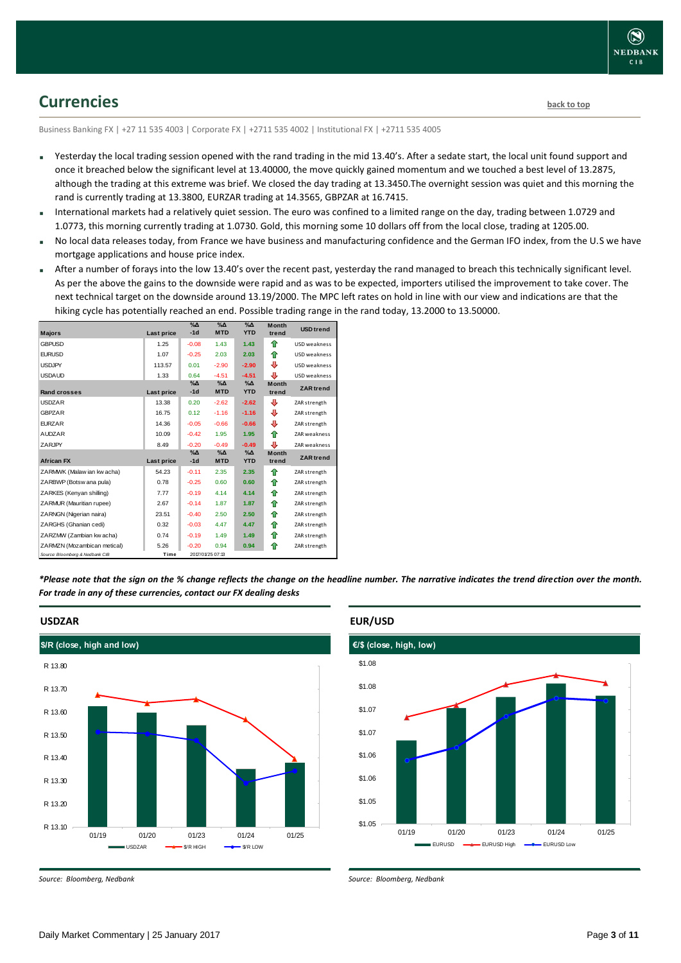![](_page_2_Picture_0.jpeg)

## <span id="page-2-0"></span>**Currencies [back to top](#page-0-0)**

Business Banking FX | +27 11 535 4003 | Corporate FX | +2711 535 4002 | Institutional FX | +2711 535 4005

- Yesterday the local trading session opened with the rand trading in the mid 13.40's. After a sedate start, the local unit found support and once it breached below the significant level at 13.40000, the move quickly gained momentum and we touched a best level of 13.2875, although the trading at this extreme was brief. We closed the day trading at 13.3450.The overnight session was quiet and this morning the rand is currently trading at 13.3800, EURZAR trading at 14.3565, GBPZAR at 16.7415.
- International markets had a relatively quiet session. The euro was confined to a limited range on the day, trading between 1.0729 and 1.0773, this morning currently trading at 1.0730. Gold, this morning some 10 dollars off from the local close, trading at 1205.00.
- No local data releases today, from France we have business and manufacturing confidence and the German IFO index, from the U.S we have mortgage applications and house price index.
- After a number of forays into the low 13.40's over the recent past, yesterday the rand managed to breach this technically significant level. As per the above the gains to the downside were rapid and as was to be expected, importers utilised the improvement to take cover. The next technical target on the downside around 13.19/2000. The MPC left rates on hold in line with our view and indications are that the hiking cycle has potentially reached an end. Possible trading range in the rand today, 13.2000 to 13.50000.

| <b>Majors</b>                   | Last price | $\%$ $\Delta$<br>$-1d$ | $\%$ $\Delta$<br><b>MTD</b> | $\%$ $\Delta$<br><b>YTD</b> | <b>Month</b><br>trend | <b>USD</b> trend    |
|---------------------------------|------------|------------------------|-----------------------------|-----------------------------|-----------------------|---------------------|
| <b>GBPUSD</b>                   | 1.25       | $-0.08$                | 1.43                        | 1.43                        | ♠                     | <b>USD</b> weakness |
| <b>EURUSD</b>                   | 1.07       | $-0.25$                | 2.03                        | 2.03                        | ⇮                     | USD weakness        |
| <b>USDJPY</b>                   | 113.57     | 0.01                   | $-2.90$                     | $-2.90$                     | ⊕                     | USD weakness        |
| <b>USDAUD</b>                   | 1.33       | 0.64                   | $-4.51$                     | $-4.51$                     | ⊕                     | USD weakness        |
| Rand crosses                    | Last price | $\%$ $\Delta$<br>$-1d$ | $\Delta$<br><b>MTD</b>      | $\%$ $\Delta$<br><b>YTD</b> | <b>Month</b><br>trend | <b>ZAR</b> trend    |
| <b>USDZAR</b>                   | 13.38      | 0.20                   | $-2.62$                     | $-2.62$                     | ⊕                     | ZAR strength        |
| <b>GBPZAR</b>                   | 16.75      | 0.12                   | $-1.16$                     | $-1.16$                     | ⊕                     | ZAR strength        |
| <b>EURZAR</b>                   | 14.36      | $-0.05$                | $-0.66$                     | $-0.66$                     | ⊕                     | ZAR strength        |
| <b>AUDZAR</b>                   | 10.09      | $-0.42$                | 1.95                        | 1.95                        | ⇑                     | ZAR weakness        |
| <b>ZARJPY</b>                   | 8.49       | $-0.20$                | $-0.49$                     | $-0.49$                     | ⊕                     | ZAR weakness        |
| <b>African FX</b>               | Last price | $\%$ $\Delta$<br>$-1d$ | %Д<br><b>MTD</b>            | $\%$ $\Delta$<br><b>YTD</b> | <b>Month</b><br>trend | <b>ZAR</b> trend    |
| ZARMWK (Malaw ian kw acha)      | 54.23      | $-0.11$                | 2.35                        | 2.35                        | ♠                     | ZAR strength        |
| ZARBWP (Botsw ana pula)         | 0.78       | $-0.25$                | 0.60                        | 0.60                        | ⇑                     | ZAR strength        |
| ZARKES (Kenyan shilling)        | 7.77       | $-0.19$                | 4.14                        | 4.14                        | ⇑                     | ZAR strength        |
| ZARMUR (Mauritian rupee)        | 2.67       | $-0.14$                | 1.87                        | 1.87                        | ⇑                     | ZAR strength        |
| ZARNGN (Nigerian naira)         | 23.51      | $-0.40$                | 2.50                        | 2.50                        | ⇮                     | ZAR strength        |
| ZARGHS (Ghanian cedi)           | 0.32       | $-0.03$                | 4.47                        | 4.47                        | ⇑                     | ZAR strength        |
| ZARZMW (Zambian kw acha)        | 0.74       | $-0.19$                | 1.49                        | 1.49                        | ⇑                     | ZAR strength        |
| ZARMZN (Mozambican metical)     | 5.26       | $-0.20$                | 0.94                        | 0.94                        | ⇑                     | ZAR strength        |
| Source: Bloomberg & Nedbank CIB | Time       |                        | 2017/01/25 07:13            |                             |                       |                     |

*\*Please note that the sign on the % change reflects the change on the headline number. The narrative indicates the trend direction over the month. For trade in any of these currencies, contact our FX dealing desks*

![](_page_2_Figure_10.jpeg)

#### **EUR/USD**

![](_page_2_Figure_12.jpeg)

*Source: Bloomberg, Nedbank*

*Source: Bloomberg, Nedbank*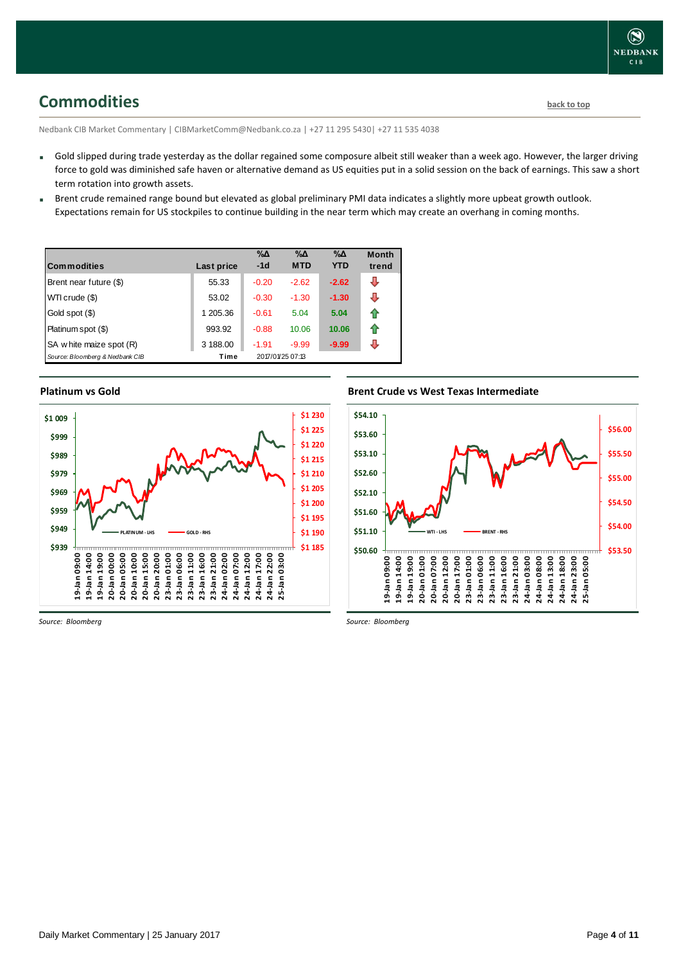## <span id="page-3-0"></span>**Commodities [back to top](#page-0-0)**

Nedbank CIB Market Commentary | CIBMarketComm@Nedbank.co.za | +27 11 295 5430| +27 11 535 4038

- Gold slipped during trade yesterday as the dollar regained some composure albeit still weaker than a week ago. However, the larger driving force to gold was diminished safe haven or alternative demand as US equities put in a solid session on the back of earnings. This saw a short term rotation into growth assets.
- Brent crude remained range bound but elevated as global preliminary PMI data indicates a slightly more upbeat growth outlook. Expectations remain for US stockpiles to continue building in the near term which may create an overhang in coming months.

| <b>Commodities</b>              | Last price | $\% \Delta$<br>$-1d$ | $\% \Delta$<br><b>MTD</b> | $\% \Delta$<br><b>YTD</b> | <b>Month</b><br>trend |
|---------------------------------|------------|----------------------|---------------------------|---------------------------|-----------------------|
| Brent near future (\$)          | 55.33      | $-0.20$              | $-2.62$                   | $-2.62$                   | ⊕                     |
| WTI crude (\$)                  | 53.02      | $-0.30$              | $-1.30$                   | $-1.30$                   | ⊕                     |
| Gold spot (\$)                  | 1 205.36   | $-0.61$              | 5.04                      | 5.04                      | ⇑                     |
| Platinum spot (\$)              | 993.92     | $-0.88$              | 10.06                     | 10.06                     | ⇑                     |
| SA w hite maize spot (R)        | 3 188.00   | $-1.91$              | $-9.99$                   | $-9.99$                   | J                     |
| Source: Bloomberg & Nedbank CIB | Time       |                      | 2017/01/25 07:13          |                           |                       |

### **Platinum vs Gold Platinum vs. Gold**

![](_page_3_Figure_8.jpeg)

#### **Brent Crude vs West Texas Intermediate**

![](_page_3_Figure_10.jpeg)

*Source: Bloomberg*

*Source: Bloomberg*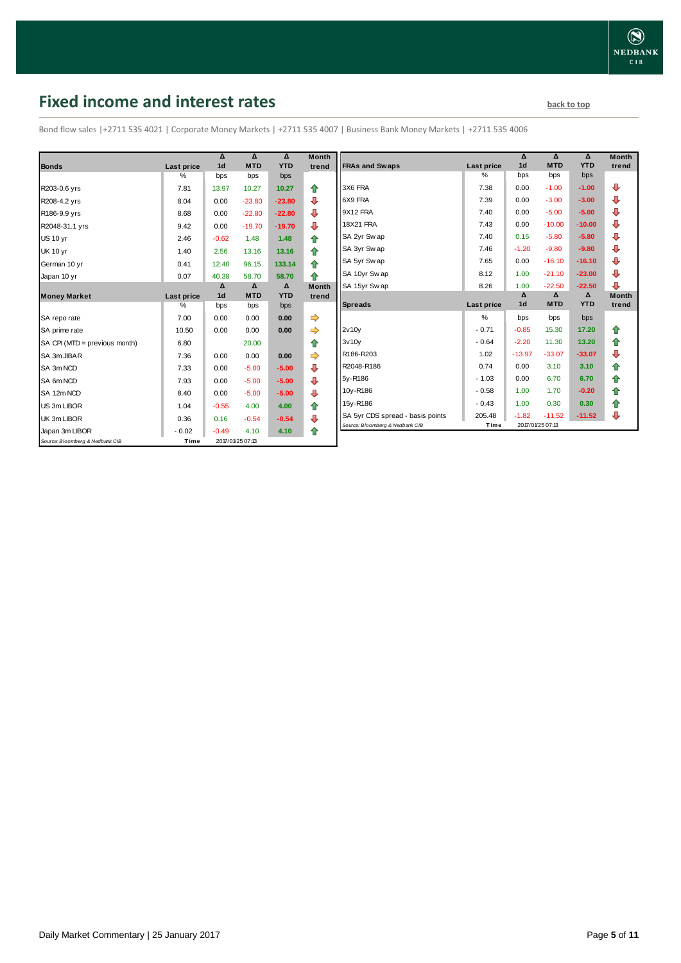# <span id="page-4-0"></span>**Fixed income and interest rates back to the line of the set of the set of the set of the set of the set of the set of the set of the set of the set of the set of the set of the set of the set of the set of the set of th**

Bond flow sales |+2711 535 4021 | Corporate Money Markets | +2711 535 4007 | Business Bank Money Markets | +2711 535 4006

|                                 |            | Δ              | Δ                | Δ          | <b>Month</b> |
|---------------------------------|------------|----------------|------------------|------------|--------------|
| <b>Bonds</b>                    | Last price | 1 <sub>d</sub> | <b>MTD</b>       | <b>YTD</b> | trend        |
|                                 | %          | bps            | bps              | bps        |              |
| R203-0.6 yrs                    | 7.81       | 13.97          | 10.27            | 10.27      | ♠            |
| R208-4.2 yrs                    | 8.04       | 0.00           | $-23.80$         | $-23.80$   | ⊕            |
| R186-9.9 yrs                    | 8.68       | 0.00           | $-22.80$         | $-22.80$   | ⊕            |
| R2048-31.1 yrs                  | 9.42       | 0.00           | $-19.70$         | $-19.70$   | ⊕            |
| <b>US 10 vr</b>                 | 2.46       | $-0.62$        | 1.48             | 1.48       | 合            |
| <b>UK 10 yr</b>                 | 1.40       | 2.56           | 13.16            | 13.16      | ⇑            |
| German 10 yr                    | 0.41       | 12.40          | 96.15            | 133.14     | ⇑            |
| Japan 10 yr                     | 0.07       | 40.38          | 58.70            | 58.70      | ♠            |
|                                 |            | Δ              | $\Delta$         | Δ          | <b>Month</b> |
| <b>Money Market</b>             | Last price | 1 <sub>d</sub> | <b>MTD</b>       | <b>YTD</b> | trend        |
|                                 | $\%$       | bps            | bps              | bps        |              |
| SA repo rate                    | 7.00       | 0.00           | 0.00             | 0.00       | ⇛            |
| SA prime rate                   | 10.50      | 0.00           | 0.00             | 0.00       |              |
| SA CPI (MTD = previous month)   | 6.80       |                | 20.00            |            | ♠            |
| SA 3m JIBAR                     | 7.36       | 0.00           | 0.00             | 0.00       |              |
| SA 3m NCD                       | 7.33       | 0.00           | $-5.00$          | $-5.00$    | ⊕            |
| SA 6m NCD                       | 7.93       | 0.00           | $-5.00$          | $-5.00$    | ⇩            |
| SA 12m NCD                      | 8.40       | 0.00           | $-5.00$          | $-5.00$    | ⊕            |
| US 3m LIBOR                     | 1.04       | $-0.55$        | 4.00             | 4.00       | ⇑            |
| UK 3m LIBOR                     | 0.36       | 0.16           | $-0.54$          | $-0.54$    | ₽            |
| Japan 3m LIBOR                  | $-0.02$    | $-0.49$        | 4.10             | 4.10       | ♠            |
| Source: Bloomberg & Nedbank CIB | Time       |                | 2017/01/25 07:13 |            |              |

|                                  |            | Δ              | Δ          | $\Lambda$  | <b>Month</b> |
|----------------------------------|------------|----------------|------------|------------|--------------|
| <b>FRAs and Swaps</b>            | Last price | 1 <sub>d</sub> | <b>MTD</b> | <b>YTD</b> | trend        |
|                                  | %          | bps            | bps        | bps        |              |
| 3X6 FRA                          | 7.38       | 0.00           | $-1.00$    | $-1.00$    | ⊕            |
| 6X9 FRA                          | 7.39       | 0.00           | $-3.00$    | $-3.00$    | ⊕            |
| 9X12 FRA                         | 7.40       | 0.00           | $-5.00$    | $-5.00$    | ⊕            |
| <b>18X21 FRA</b>                 | 7.43       | 0.00           | $-10.00$   | $-10.00$   | ⊕            |
| SA 2yr Sw ap                     | 7.40       | 0.15           | $-5.80$    | $-5.80$    | ⊕            |
| SA 3yr Sw ap                     | 7.46       | $-1.20$        | $-9.80$    | $-9.80$    | ⊕            |
| SA 5yr Sw ap                     | 7.65       | 0.00           | $-16.10$   | $-16.10$   | ⊕            |
| SA 10yr Sw ap                    | 8.12       | 1.00           | $-21.10$   | $-23.00$   | ⊕            |
| SA 15yr Swap                     | 8.26       | 1.00           | $-22.50$   | $-22.50$   | ⊕            |
|                                  |            | Δ              | Δ          | Δ          | <b>Month</b> |
| <b>Spreads</b>                   | Last price | 1 <sub>d</sub> | <b>MTD</b> | <b>YTD</b> | trend        |
|                                  | $\%$       | bps            | bps        | bps        |              |
| 2v10v                            | $-0.71$    | $-0.85$        | 15.30      | 17.20      | ⇑            |
| 3v10v                            | $-0.64$    | $-2.20$        | 11.30      | 13.20      | ✿            |
| R186-R203                        | 1.02       | $-13.97$       | $-33.07$   | $-33.07$   | ⊕            |
| R2048-R186                       | 0.74       | 0.00           | 3.10       | 3.10       | 合            |
| 5y-R186                          | $-1.03$    | 0.00           | 6.70       | 6.70       | 合            |
| 10y-R186                         | $-0.58$    | 1.00           | 1.70       | $-0.20$    | 合            |
| 15y-R186                         | $-0.43$    | 1.00           | 0.30       | 0.30       | 合            |
|                                  |            |                |            |            |              |
| SA 5yr CDS spread - basis points | 205.48     | $-1.82$        | $-11.52$   | $-11.52$   | ⇩            |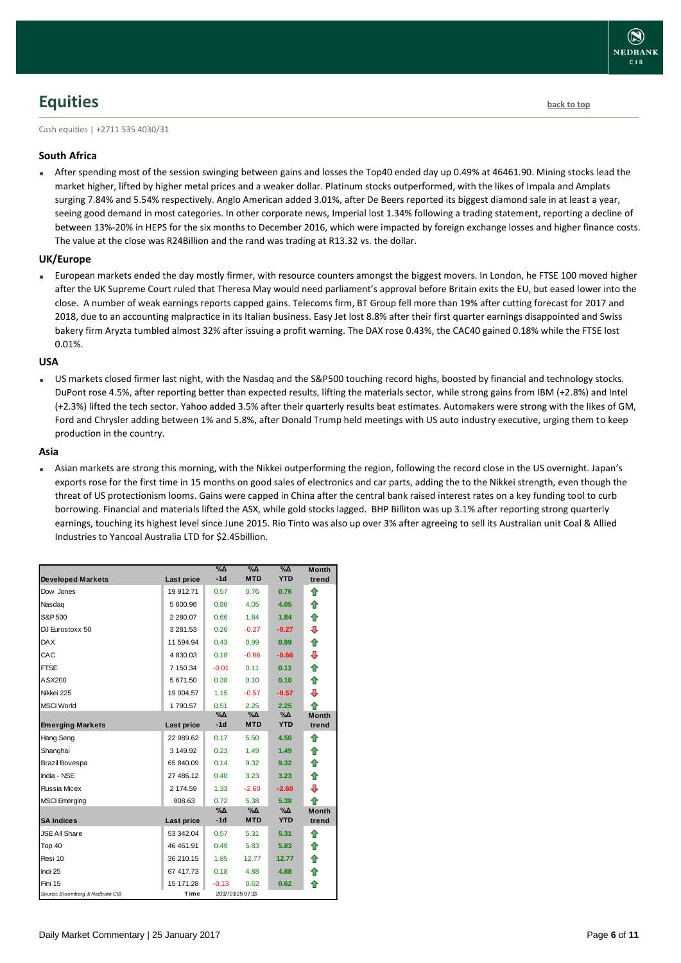## <span id="page-5-0"></span>**Equities [back to top](#page-0-0)**

Cash equities | +2711 535 4030/31

### **South Africa**

 After spending most of the session swinging between gains and losses the Top40 ended day up 0.49% at 46461.90. Mining stocks lead the market higher, lifted by higher metal prices and a weaker dollar. Platinum stocks outperformed, with the likes of Impala and Amplats surging 7.84% and 5.54% respectively. Anglo American added 3.01%, after De Beers reported its biggest diamond sale in at least a year, seeing good demand in most categories. In other corporate news, Imperial lost 1.34% following a trading statement, reporting a decline of between 13%-20% in HEPS for the six months to December 2016, which were impacted by foreign exchange losses and higher finance costs. The value at the close was R24Billion and the rand was trading at R13.32 vs. the dollar.

#### **UK/Europe**

 European markets ended the day mostly firmer, with resource counters amongst the biggest movers. In London, he FTSE 100 moved higher after the UK Supreme Court ruled that Theresa May would need parliament's approval before Britain exits the EU, but eased lower into the close. A number of weak earnings reports capped gains. Telecoms firm, BT Group fell more than 19% after cutting forecast for 2017 and 2018, due to an accounting malpractice in its Italian business. Easy Jet lost 8.8% after their first quarter earnings disappointed and Swiss bakery firm Aryzta tumbled almost 32% after issuing a profit warning. The DAX rose 0.43%, the CAC40 gained 0.18% while the FTSE lost 0.01%.

#### **USA**

 US markets closed firmer last night, with the Nasdaq and the S&P500 touching record highs, boosted by financial and technology stocks. DuPont rose 4.5%, after reporting better than expected results, lifting the materials sector, while strong gains from IBM (+2.8%) and Intel (+2.3%) lifted the tech sector. Yahoo added 3.5% after their quarterly results beat estimates. Automakers were strong with the likes of GM, Ford and Chrysler adding between 1% and 5.8%, after Donald Trump held meetings with US auto industry executive, urging them to keep production in the country.

#### **Asia**

 Asian markets are strong this morning, with the Nikkei outperforming the region, following the record close in the US overnight. Japan's exports rose for the first time in 15 months on good sales of electronics and car parts, adding the to the Nikkei strength, even though the threat of US protectionism looms. Gains were capped in China after the central bank raised interest rates on a key funding tool to curb borrowing. Financial and materials lifted the ASX, while gold stocks lagged. BHP Billiton was up 3.1% after reporting strong quarterly earnings, touching its highest level since June 2015. Rio Tinto was also up over 3% after agreeing to sell its Australian unit Coal & Allied Industries to Yancoal Australia LTD for \$2.45billion.

| <b>Developed Markets</b>        | Last price  | $\%$ $\Delta$<br>$-1d$ | %Д<br><b>MTD</b> | %Δ<br><b>YTD</b>            | <b>Month</b><br>trend |
|---------------------------------|-------------|------------------------|------------------|-----------------------------|-----------------------|
| Dow Jones                       | 19 912.71   | 0.57                   | 0.76             | 0.76                        | ⇑                     |
| Nasdag                          | 5 600.96    | 0.86                   | 4.05             | 4.05                        | ⇮                     |
| S&P 500                         | 2 2 8 0.0 7 | 0.66                   | 1.84             | 1.84                        | ⇮                     |
| DJ Eurostoxx 50                 | 3 281.53    | 0.26                   | $-0.27$          | $-0.27$                     | ⊕                     |
| <b>DAX</b>                      | 11 594.94   | 0.43                   | 0.99             | 0.99                        | ⇑                     |
| CAC                             | 4 830.03    | 0.18                   | $-0.66$          | $-0.66$                     | ⊕                     |
| <b>FTSE</b>                     | 7 150.34    | $-0.01$                | 0.11             | 0.11                        | ⇑                     |
| ASX200                          | 5 671.50    | 0.38                   | 0.10             | 0.10                        | ⇑                     |
| Nikkei 225                      | 19 004.57   | 1.15                   | $-0.57$          | $-0.57$                     | ⊕                     |
| <b>MSCI World</b>               | 1790.57     | 0.51                   | 2.25             | 2.25                        | ♠                     |
| <b>Emerging Markets</b>         |             | %Δ<br>$-1d$            | %Δ<br><b>MTD</b> | %Δ<br><b>YTD</b>            | <b>Month</b><br>trend |
|                                 | Last price  |                        |                  |                             |                       |
| Hang Seng                       | 22 989.62   | 0.17                   | 5.50             | 4.50                        | ⇑                     |
| Shanghai                        | 3 149.92    | 0.23                   | 1.49             | 1.49                        | ♠                     |
| Brazil Bovespa                  | 65 840.09   | 0.14                   | 9.32             | 9.32                        | ♠                     |
| India - NSE                     | 27 486.12   | 0.40                   | 3.23             | 3.23                        | ⇑                     |
| <b>Russia Micex</b>             | 2 174.59    | 1.33                   | $-2.60$          | $-2.60$                     | ⊕                     |
| <b>MSCI</b> Emerging            | 908.63      | 0.72                   | 5.38             | 5.38                        | ♠                     |
|                                 |             | %Δ                     | %Δ               | $\%$ $\Delta$<br><b>YTD</b> | <b>Month</b>          |
| <b>SA Indices</b>               | Last price  | $-1d$                  | <b>MTD</b>       |                             | trend                 |
| <b>JSE All Share</b>            | 53 342.04   | 0.57                   | 5.31             | 5.31                        | ♠                     |
| Top 40                          | 46 461.91   | 0.49                   | 5.83             | 5.83                        | ♠                     |
| Resi 10                         | 36 210.15   | 1.85                   | 12.77            | 12.77                       | ♠                     |
| Indi 25                         | 67 417.73   | 0.18                   | 4.88             | 4.88                        | ⇑                     |
| Fini 15                         | 15 171.28   | $-0.13$                | 0.62             | 0.62                        | ⇑                     |
| Source: Bloomberg & Nedbank CIB | Time        |                        | 2017/01/25 07:13 |                             |                       |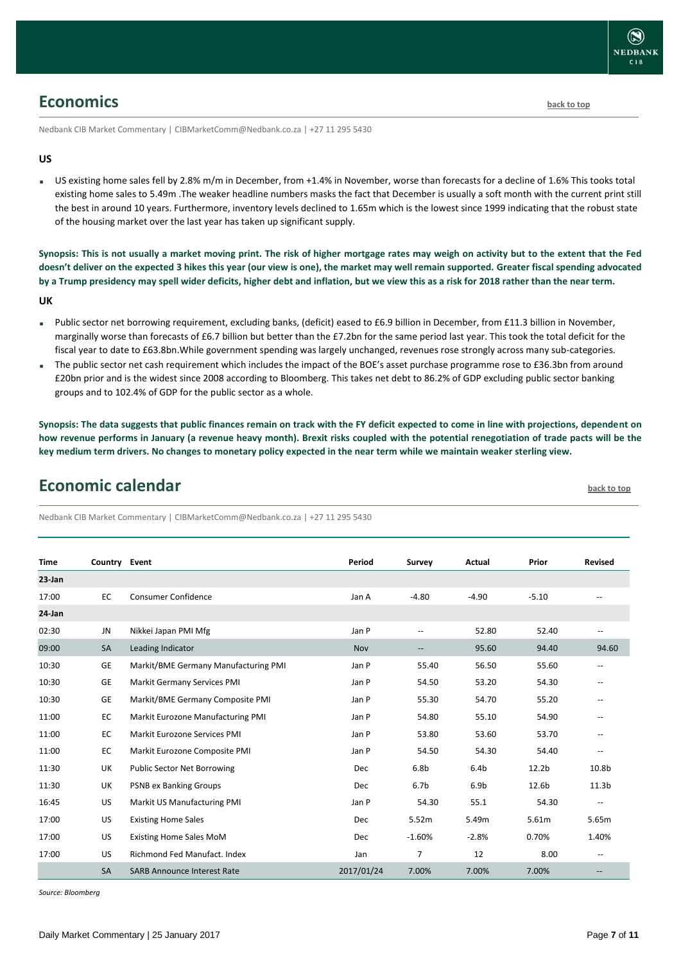![](_page_6_Picture_0.jpeg)

### <span id="page-6-0"></span>**Economics [back to top](#page-0-0)**

Nedbank CIB Market Commentary | CIBMarketComm@Nedbank.co.za | +27 11 295 5430

#### **US**

 US existing home sales fell by 2.8% m/m in December, from +1.4% in November, worse than forecasts for a decline of 1.6% This tooks total existing home sales to 5.49m .The weaker headline numbers masks the fact that December is usually a soft month with the current print still the best in around 10 years. Furthermore, inventory levels declined to 1.65m which is the lowest since 1999 indicating that the robust state of the housing market over the last year has taken up significant supply.

**Synopsis: This is not usually a market moving print. The risk of higher mortgage rates may weigh on activity but to the extent that the Fed doesn't deliver on the expected 3 hikes this year (our view is one), the market may well remain supported. Greater fiscal spending advocated by a Trump presidency may spell wider deficits, higher debt and inflation, but we view this as a risk for 2018 rather than the near term. UK**

- Public sector net borrowing requirement, excluding banks, (deficit) eased to £6.9 billion in December, from £11.3 billion in November, marginally worse than forecasts of £6.7 billion but better than the £7.2bn for the same period last year. This took the total deficit for the fiscal year to date to £63.8bn.While government spending was largely unchanged, revenues rose strongly across many sub-categories.
- The public sector net cash requirement which includes the impact of the BOE's asset purchase programme rose to £36.3bn from around £20bn prior and is the widest since 2008 according to Bloomberg. This takes net debt to 86.2% of GDP excluding public sector banking groups and to 102.4% of GDP for the public sector as a whole.

**Synopsis: The data suggests that public finances remain on track with the FY deficit expected to come in line with projections, dependent on how revenue performs in January (a revenue heavy month). Brexit risks coupled with the potential renegotiation of trade pacts will be the key medium term drivers. No changes to monetary policy expected in the near term while we maintain weaker sterling view.**

## <span id="page-6-1"></span>**Economic calendar [back to top](#page-0-0)**

Nedbank CIB Market Commentary | CIBMarketComm@Nedbank.co.za | +27 11 295 5430

| <b>Time</b> | Country Event |                                      | Period     | Survey                   | Actual           | Prior             | <b>Revised</b>           |
|-------------|---------------|--------------------------------------|------------|--------------------------|------------------|-------------------|--------------------------|
| $23$ -Jan   |               |                                      |            |                          |                  |                   |                          |
| 17:00       | EC            | <b>Consumer Confidence</b>           | Jan A      | $-4.80$                  | $-4.90$          | $-5.10$           |                          |
| 24-Jan      |               |                                      |            |                          |                  |                   |                          |
| 02:30       | <b>JN</b>     | Nikkei Japan PMI Mfg                 | Jan P      | $\overline{a}$           | 52.80            | 52.40             | $\overline{a}$           |
| 09:00       | <b>SA</b>     | Leading Indicator                    | Nov        | $\overline{\phantom{m}}$ | 95.60            | 94.40             | 94.60                    |
| 10:30       | GE            | Markit/BME Germany Manufacturing PMI | Jan P      | 55.40                    | 56.50            | 55.60             |                          |
| 10:30       | <b>GE</b>     | Markit Germany Services PMI          | Jan P      | 54.50                    | 53.20            | 54.30             | --                       |
| 10:30       | GE            | Markit/BME Germany Composite PMI     | Jan P      | 55.30                    | 54.70            | 55.20             | $\qquad \qquad -$        |
| 11:00       | EC            | Markit Eurozone Manufacturing PMI    | Jan P      | 54.80                    | 55.10            | 54.90             |                          |
| 11:00       | <b>EC</b>     | Markit Eurozone Services PMI         | Jan P      | 53.80                    | 53.60            | 53.70             | $\overline{\phantom{a}}$ |
| 11:00       | EC            | Markit Eurozone Composite PMI        | Jan P      | 54.50                    | 54.30            | 54.40             | $\qquad \qquad -$        |
| 11:30       | UK            | <b>Public Sector Net Borrowing</b>   | Dec        | 6.8 <sub>b</sub>         | 6.4 <sub>b</sub> | 12.2 <sub>b</sub> | 10.8b                    |
| 11:30       | UK            | <b>PSNB ex Banking Groups</b>        | Dec        | 6.7 <sub>b</sub>         | 6.9 <sub>b</sub> | 12.6b             | 11.3 <sub>b</sub>        |
| 16:45       | US            | Markit US Manufacturing PMI          | Jan P      | 54.30                    | 55.1             | 54.30             | --                       |
| 17:00       | US            | <b>Existing Home Sales</b>           | Dec        | 5.52m                    | 5.49m            | 5.61m             | 5.65m                    |
| 17:00       | <b>US</b>     | <b>Existing Home Sales MoM</b>       | Dec        | $-1.60%$                 | $-2.8%$          | 0.70%             | 1.40%                    |
| 17:00       | <b>US</b>     | <b>Richmond Fed Manufact, Index</b>  | Jan        | $\overline{7}$           | 12               | 8.00              | $\qquad \qquad -$        |
|             | <b>SA</b>     | <b>SARB Announce Interest Rate</b>   | 2017/01/24 | 7.00%                    | 7.00%            | 7.00%             |                          |

*Source: Bloomberg*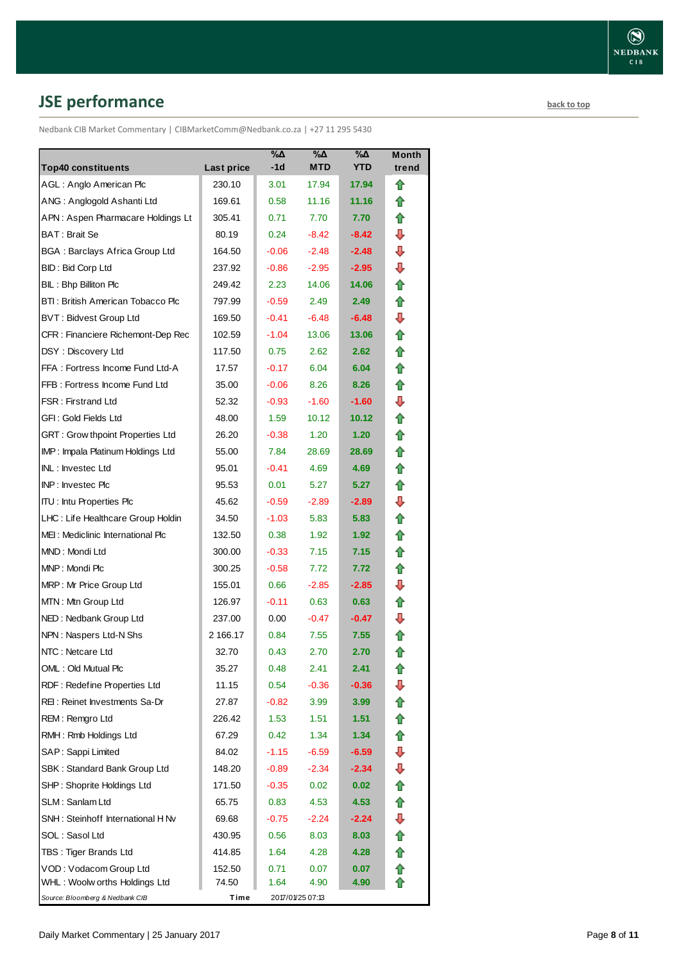# <span id="page-7-0"></span>**JSE performance [back to top](#page-0-0)**

Nedbank CIB Market Commentary | CIBMarketComm@Nedbank.co.za | +27 11 295 5430

|                                    |            | $\%$ $\Delta$ | %Δ                | $\% \Delta$       | <b>Month</b> |
|------------------------------------|------------|---------------|-------------------|-------------------|--------------|
| <b>Top40 constituents</b>          | Last price | $-1d$         | <b>MTD</b>        | <b>YTD</b>        | trend        |
| AGL: Anglo American Plc            | 230.10     | 3.01          | 17.94             | 17.94             | ⇑            |
| ANG: Anglogold Ashanti Ltd         | 169.61     | 0.58          | 11.16             | 11.16             | ⇑            |
| APN: Aspen Pharmacare Holdings Lt  | 305.41     | 0.71          | 7.70              | 7.70              | ⇑            |
| BAT: Brait Se                      | 80.19      | 0.24          | $-8.42$           | -8.42             | ⊕            |
| BGA: Barclays Africa Group Ltd     | 164.50     | $-0.06$       | $-2.48$           | $-2.48$           | ⇩            |
| <b>BID: Bid Corp Ltd</b>           | 237.92     | $-0.86$       | $-2.95$           | $-2.95$           | ⇩            |
| BIL: Bhp Billiton Plc              | 249.42     | 2.23          | 14.06             | 14.06             | ✿            |
| BTI: British American Tobacco Plc  | 797.99     | $-0.59$       | 2.49              | 2.49              | ✿            |
| <b>BVT: Bidvest Group Ltd</b>      | 169.50     | $-0.41$       | $-6.48$           | -6.48             | ⇩            |
| CFR : Financiere Richemont-Dep Rec | 102.59     | $-1.04$       | 13.06             | 13.06             | ⇑            |
| DSY: Discovery Ltd                 | 117.50     | 0.75          | 2.62              | 2.62              | ✿            |
| FFA: Fortress Income Fund Ltd-A    | 17.57      | $-0.17$       | 6.04              | 6.04              | ⇑            |
| FFB: Fortress Income Fund Ltd      | 35.00      | $-0.06$       | 8.26              | 8.26              | ⇑            |
| FSR: Firstrand Ltd                 | 52.32      | $-0.93$       | $-1.60$           | $-1.60$           | ⇩            |
| GFI : Gold Fields Ltd              | 48.00      | 1.59          | 10.12             | 10.12             | ✿            |
| GRT: Grow thpoint Properties Ltd   | 26.20      | $-0.38$       | 1.20              | 1.20              | ⇮            |
| IMP: Impala Platinum Holdings Ltd  | 55.00      | 7.84          | 28.69             | 28.69             | ⇑            |
| INL: Investec Ltd                  | 95.01      | $-0.41$       | 4.69              | 4.69              | ⇑            |
| INP: Investec Plc                  | 95.53      | 0.01          | 5.27              | 5.27              | ✿            |
| <b>ITU: Intu Properties Plc</b>    | 45.62      | $-0.59$       | $-2.89$           | $-2.89$           | ⊕            |
| LHC: Life Healthcare Group Holdin  | 34.50      | $-1.03$       | 5.83              | 5.83              | ✿            |
| MEI: Mediclinic International Plc  | 132.50     | 0.38          | 1.92              | 1.92              | ✿            |
| MND: Mondi Ltd                     | 300.00     | $-0.33$       | 7.15              | 7.15              | ✿            |
| MNP: Mondi Plc                     | 300.25     | $-0.58$       | 7.72              | 7.72              | ✿            |
| MRP: Mr Price Group Ltd            | 155.01     | 0.66          | $-2.85$           | $-2.85$           | ₽            |
| MTN: Mtn Group Ltd                 | 126.97     | $-0.11$       | 0.63              | 0.63 <sub>1</sub> | ⇑            |
| NED: Nedbank Group Ltd             | 237.00     | 0.00          | $-0.47$           | $-0.47$           | ⇩            |
| NPN: Naspers Ltd-N Shs             | 2 166.17   | 0.84          | 7.55              | 7.55              | ⇑            |
| NTC: Netcare Ltd                   | 32.70      | 0.43          | 2.70              | 2.70              | ✿            |
| OML: Old Mutual Plc                | 35.27      | 0.48          | 2.41              | 2.41              | ⇧            |
| RDF: Redefine Properties Ltd       | 11.15      | 0.54          | $-0.36$           | $-0.36$           | ⇩            |
| REI: Reinet Investments Sa-Dr      | 27.87      | $-0.82$       | 3.99              | 3.99 <sub>1</sub> | ⇑            |
| REM: Remgro Ltd                    | 226.42     | 1.53          | 1.51              | 1.51              | ✿            |
| RMH: Rmb Holdings Ltd              | 67.29      | 0.42          | 1.34              | 1.34              | 合            |
| SAP: Sappi Limited                 | 84.02      | $-1.15$       | $-6.59$           | $-6.59$           | ⇩            |
| SBK: Standard Bank Group Ltd       | 148.20     | $-0.89$       | $-2.34$           | -2.34             | ⊕            |
| SHP: Shoprite Holdings Ltd         | 171.50     | $-0.35$       | 0.02 <sub>1</sub> | 0.02              | ⇮            |
| SLM : Sanlam Ltd                   | 65.75      | 0.83          | 4.53              | 4.53              | ⇮            |
| SNH : Steinhoff International H Nv | 69.68      | $-0.75$       | $-2.24$           | $-2.24$           | ⇩            |
| SOL : Sasol Ltd                    | 430.95     | 0.56          | 8.03              | 8.03              | 合            |
| TBS: Tiger Brands Ltd              | 414.85     | 1.64          | 4.28              | 4.28              | ✿            |
| VOD: Vodacom Group Ltd             | 152.50     | 0.71          | 0.07              | 0.07              | ⇑            |
| WHL : Woolw orths Holdings Ltd     | 74.50      | 1.64          | 4.90              | 4.90              | ⇑            |
| Source: Bloomberg & Nedbank CIB    | Time       |               | 2017/01/25 07:13  |                   |              |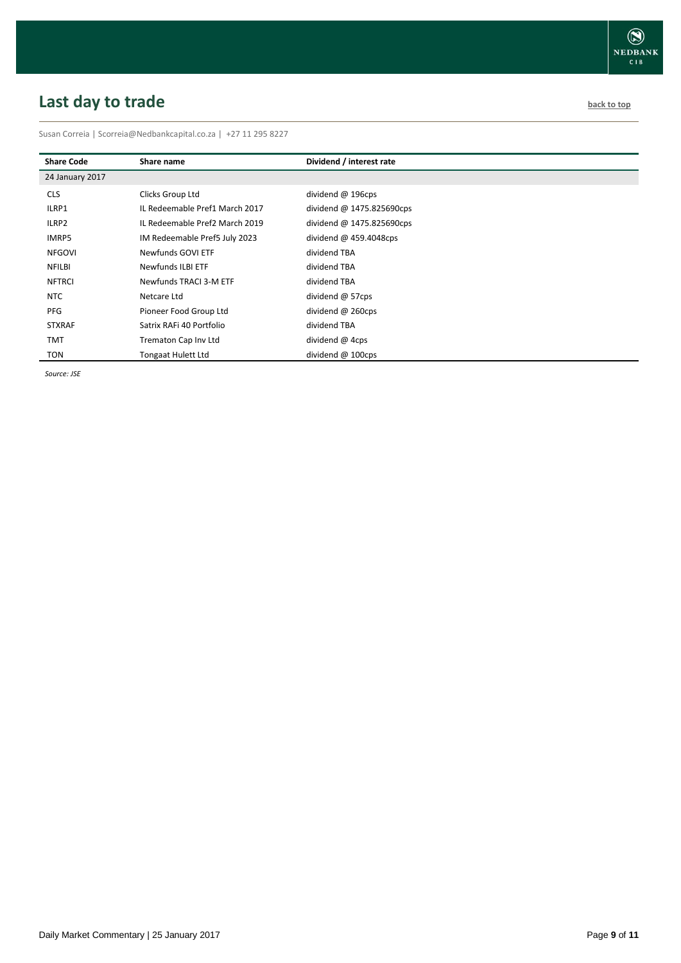# <span id="page-8-0"></span>**Last day to trade back to the contract of the contract of the contract of the contract of the contract of the contract of the contract of the contract of the contract of the contract of the contract of the contract of t**

Susan Correia | [Scorreia@Nedbankcapital.co.za](mailto:Scorreia@Nedbankcapital.co.za) | +27 11 295 8227

| <b>Share Code</b> | Share name                     | Dividend / interest rate     |
|-------------------|--------------------------------|------------------------------|
| 24 January 2017   |                                |                              |
| <b>CLS</b>        | Clicks Group Ltd               | dividend $@$ 196cps          |
| ILRP1             | IL Redeemable Pref1 March 2017 | dividend @ 1475.825690cps    |
| ILRP2             | IL Redeemable Pref2 March 2019 | dividend @ $1475.825690$ cps |
| IMRP5             | IM Redeemable Pref5 July 2023  | dividend @ 459.4048cps       |
| <b>NFGOVI</b>     | Newfunds GOVI ETF              | dividend TBA                 |
| <b>NFILBI</b>     | Newfunds ILBI ETF              | dividend TBA                 |
| <b>NFTRCI</b>     | Newfunds TRACI 3-M ETF         | dividend TBA                 |
| <b>NTC</b>        | Netcare Ltd                    | dividend @ 57cps             |
| <b>PFG</b>        | Pioneer Food Group Ltd         | dividend @ 260cps            |
| <b>STXRAF</b>     | Satrix RAFi 40 Portfolio       | dividend TBA                 |
| <b>TMT</b>        | Trematon Cap Inv Ltd           | dividend @ 4cps              |
| TON               | Tongaat Hulett Ltd             | dividend $@$ 100cps          |

*Source: JSE*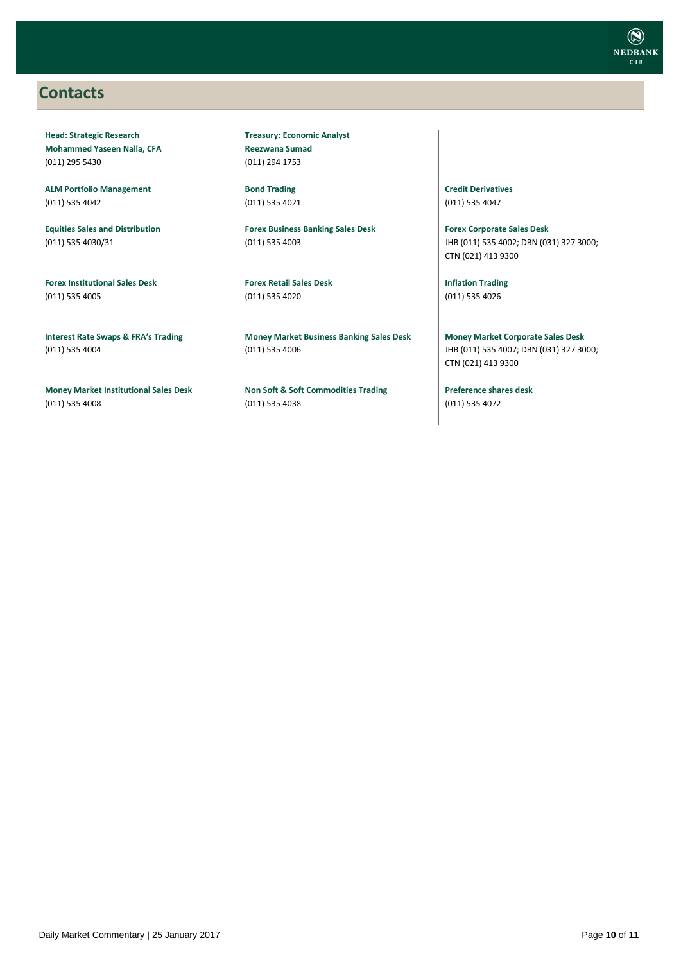### <span id="page-9-0"></span>**Contacts**

**Head: Strategic Research Mohammed Yaseen Nalla, CFA** (011) 295 5430

**ALM Portfolio Management** (011) 535 4042

**Equities Sales and Distribution** (011) 535 4030/31

**Forex Institutional Sales Desk** (011) 535 4005

**Interest Rate Swaps & FRA's Trading** (011) 535 4004

**Money Market Institutional Sales Desk** (011) 535 4008

**Treasury: Economic Analyst Reezwana Sumad** (011) 294 1753

**Bond Trading** (011) 535 4021

**Forex Business Banking Sales Desk** (011) 535 4003

**Forex Retail Sales Desk** (011) 535 4020

**Money Market Business Banking Sales Desk** (011) 535 4006

**Non Soft & Soft Commodities Trading** (011) 535 4038

**Credit Derivatives**  (011) 535 4047

**Forex Corporate Sales Desk** JHB (011) 535 4002; DBN (031) 327 3000; CTN (021) 413 9300

**Inflation Trading** (011) 535 4026

**Money Market Corporate Sales Desk** JHB (011) 535 4007; DBN (031) 327 3000; CTN (021) 413 9300

**Preference shares desk** (011) 535 4072

![](_page_9_Picture_20.jpeg)